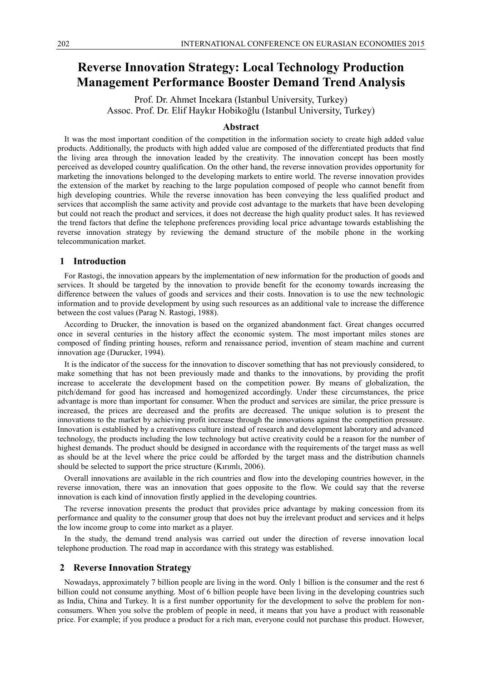# **Reverse Innovation Strategy: Local Technology Production Management Performance Booster Demand Trend Analysis**

Prof. Dr. Ahmet Incekara (Istanbul University, Turkey) Assoc. Prof. Dr. Elif Haykır Hobikoğlu (Istanbul University, Turkey)

# **Abstract**

It was the most important condition of the competition in the information society to create high added value products. Additionally, the products with high added value are composed of the differentiated products that find the living area through the innovation leaded by the creativity. The innovation concept has been mostly perceived as developed country qualification. On the other hand, the reverse innovation provides opportunity for marketing the innovations belonged to the developing markets to entire world. The reverse innovation provides the extension of the market by reaching to the large population composed of people who cannot benefit from high developing countries. While the reverse innovation has been conveying the less qualified product and services that accomplish the same activity and provide cost advantage to the markets that have been developing but could not reach the product and services, it does not decrease the high quality product sales. It has reviewed the trend factors that define the telephone preferences providing local price advantage towards establishing the reverse innovation strategy by reviewing the demand structure of the mobile phone in the working telecommunication market.

# **1 Introduction**

For Rastogi, the innovation appears by the implementation of new information for the production of goods and services. It should be targeted by the innovation to provide benefit for the economy towards increasing the difference between the values of goods and services and their costs. Innovation is to use the new technologic information and to provide development by using such resources as an additional vale to increase the difference between the cost values (Parag N. Rastogi, 1988).

According to Drucker, the innovation is based on the organized abandonment fact. Great changes occurred once in several centuries in the history affect the economic system. The most important miles stones are composed of finding printing houses, reform and renaissance period, invention of steam machine and current innovation age (Durucker, 1994).

It is the indicator of the success for the innovation to discover something that has not previously considered, to make something that has not been previously made and thanks to the innovations, by providing the profit increase to accelerate the development based on the competition power. By means of globalization, the pitch/demand for good has increased and homogenized accordingly. Under these circumstances, the price advantage is more than important for consumer. When the product and services are similar, the price pressure is increased, the prices are decreased and the profits are decreased. The unique solution is to present the innovations to the market by achieving profit increase through the innovations against the competition pressure. Innovation is established by a creativeness culture instead of research and development laboratory and advanced technology, the products including the low technology but active creativity could be a reason for the number of highest demands. The product should be designed in accordance with the requirements of the target mass as well as should be at the level where the price could be afforded by the target mass and the distribution channels should be selected to support the price structure (Kırımlı, 2006).

Overall innovations are available in the rich countries and flow into the developing countries however, in the reverse innovation, there was an innovation that goes opposite to the flow. We could say that the reverse innovation is each kind of innovation firstly applied in the developing countries.

The reverse innovation presents the product that provides price advantage by making concession from its performance and quality to the consumer group that does not buy the irrelevant product and services and it helps the low income group to come into market as a player.

In the study, the demand trend analysis was carried out under the direction of reverse innovation local telephone production. The road map in accordance with this strategy was established.

#### **2 Reverse Innovation Strategy**

Nowadays, approximately 7 billion people are living in the word. Only 1 billion is the consumer and the rest 6 billion could not consume anything. Most of 6 billion people have been living in the developing countries such as India, China and Turkey. It is a first number opportunity for the development to solve the problem for nonconsumers. When you solve the problem of people in need, it means that you have a product with reasonable price. For example; if you produce a product for a rich man, everyone could not purchase this product. However,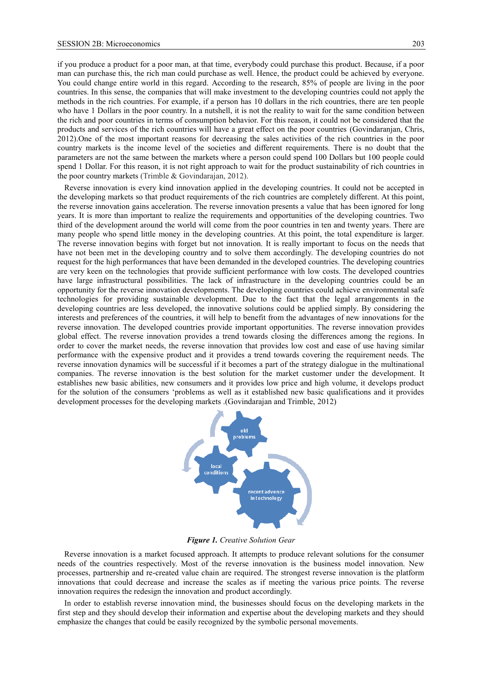if you produce a product for a poor man, at that time, everybody could purchase this product. Because, if a poor man can purchase this, the rich man could purchase as well. Hence, the product could be achieved by everyone. You could change entire world in this regard. According to the research, 85% of people are living in the poor countries. In this sense, the companies that will make investment to the developing countries could not apply the methods in the rich countries. For example, if a person has 10 dollars in the rich countries, there are ten people who have 1 Dollars in the poor country. In a nutshell, it is not the reality to wait for the same condition between the rich and poor countries in terms of consumption behavior. For this reason, it could not be considered that the products and services of the rich countries will have a great effect on the poor countries (Govindaranjan, Chris, 2012).One of the most important reasons for decreasing the sales activities of the rich countries in the poor country markets is the income level of the societies and different requirements. There is no doubt that the parameters are not the same between the markets where a person could spend 100 Dollars but 100 people could spend 1 Dollar. For this reason, it is not right approach to wait for the product sustainability of rich countries in the poor country markets (Trimble & Govindarajan, 2012).

Reverse innovation is every kind innovation applied in the developing countries. It could not be accepted in the developing markets so that product requirements of the rich countries are completely different. At this point, the reverse innovation gains acceleration. The reverse innovation presents a value that has been ignored for long years. It is more than important to realize the requirements and opportunities of the developing countries. Two third of the development around the world will come from the poor countries in ten and twenty years. There are many people who spend little money in the developing countries. At this point, the total expenditure is larger. The reverse innovation begins with forget but not innovation. It is really important to focus on the needs that have not been met in the developing country and to solve them accordingly. The developing countries do not request for the high performances that have been demanded in the developed countries. The developing countries are very keen on the technologies that provide sufficient performance with low costs. The developed countries have large infrastructural possibilities. The lack of infrastructure in the developing countries could be an opportunity for the reverse innovation developments. The developing countries could achieve environmental safe technologies for providing sustainable development. Due to the fact that the legal arrangements in the developing countries are less developed, the innovative solutions could be applied simply. By considering the interests and preferences of the countries, it will help to benefit from the advantages of new innovations for the reverse innovation. The developed countries provide important opportunities. The reverse innovation provides global effect. The reverse innovation provides a trend towards closing the differences among the regions. In order to cover the market needs, the reverse innovation that provides low cost and ease of use having similar performance with the expensive product and it provides a trend towards covering the requirement needs. The reverse innovation dynamics will be successful if it becomes a part of the strategy dialogue in the multinational companies. The reverse innovation is the best solution for the market customer under the development. It establishes new basic abilities, new consumers and it provides low price and high volume, it develops product for the solution of the consumers 'problems as well as it established new basic qualifications and it provides development processes for the developing markets .(Govindarajan and Trimble, 2012)



*Figure 1. Creative Solution Gear* 

Reverse innovation is a market focused approach. It attempts to produce relevant solutions for the consumer needs of the countries respectively. Most of the reverse innovation is the business model innovation. New processes, partnership and re-created value chain are required. The strongest reverse innovation is the platform innovations that could decrease and increase the scales as if meeting the various price points. The reverse innovation requires the redesign the innovation and product accordingly.

In order to establish reverse innovation mind, the businesses should focus on the developing markets in the first step and they should develop their information and expertise about the developing markets and they should emphasize the changes that could be easily recognized by the symbolic personal movements.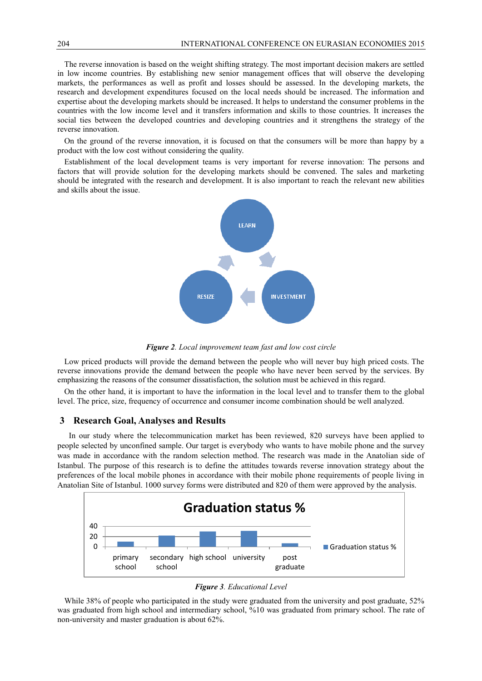The reverse innovation is based on the weight shifting strategy. The most important decision makers are settled in low income countries. By establishing new senior management offices that will observe the developing markets, the performances as well as profit and losses should be assessed. In the developing markets, the research and development expenditures focused on the local needs should be increased. The information and expertise about the developing markets should be increased. It helps to understand the consumer problems in the countries with the low income level and it transfers information and skills to those countries. It increases the social ties between the developed countries and developing countries and it strengthens the strategy of the reverse innovation.

On the ground of the reverse innovation, it is focused on that the consumers will be more than happy by a product with the low cost without considering the quality.

Establishment of the local development teams is very important for reverse innovation: The persons and factors that will provide solution for the developing markets should be convened. The sales and marketing should be integrated with the research and development. It is also important to reach the relevant new abilities and skills about the issue.



*Figure 2. Local improvement team fast and low cost circle*

Low priced products will provide the demand between the people who will never buy high priced costs. The reverse innovations provide the demand between the people who have never been served by the services. By emphasizing the reasons of the consumer dissatisfaction, the solution must be achieved in this regard.

On the other hand, it is important to have the information in the local level and to transfer them to the global level. The price, size, frequency of occurrence and consumer income combination should be well analyzed.

#### **3 Research Goal, Analyses and Results**

In our study where the telecommunication market has been reviewed, 820 surveys have been applied to people selected by unconfined sample. Our target is everybody who wants to have mobile phone and the survey was made in accordance with the random selection method. The research was made in the Anatolian side of Istanbul. The purpose of this research is to define the attitudes towards reverse innovation strategy about the preferences of the local mobile phones in accordance with their mobile phone requirements of people living in Anatolian Site of Istanbul. 1000 survey forms were distributed and 820 of them were approved by the analysis.



*Figure 3. Educational Level*

While 38% of people who participated in the study were graduated from the university and post graduate, 52% was graduated from high school and intermediary school, %10 was graduated from primary school. The rate of non-university and master graduation is about 62%.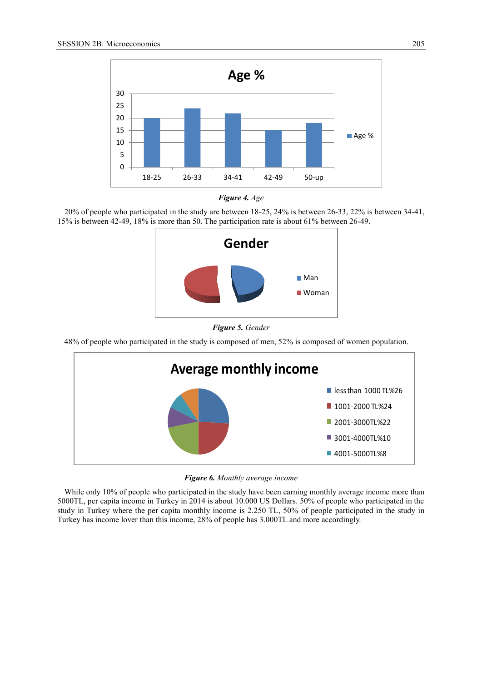



20% of people who participated in the study are between 18-25, 24% is between 26-33, 22% is between 34-41, 15% is between 42-49, 18% is more than 50. The participation rate is about 61% between 26-49.



*Figure 5. Gender* 

48% of people who participated in the study is composed of men, 52% is composed of women population.



*Figure 6. Monthly average income* 

While only 10% of people who participated in the study have been earning monthly average income more than 5000TL, per capita income in Turkey in 2014 is about 10.000 US Dollars. 50% of people who participated in the study in Turkey where the per capita monthly income is 2.250 TL, 50% of people participated in the study in Turkey has income lover than this income, 28% of people has 3.000TL and more accordingly.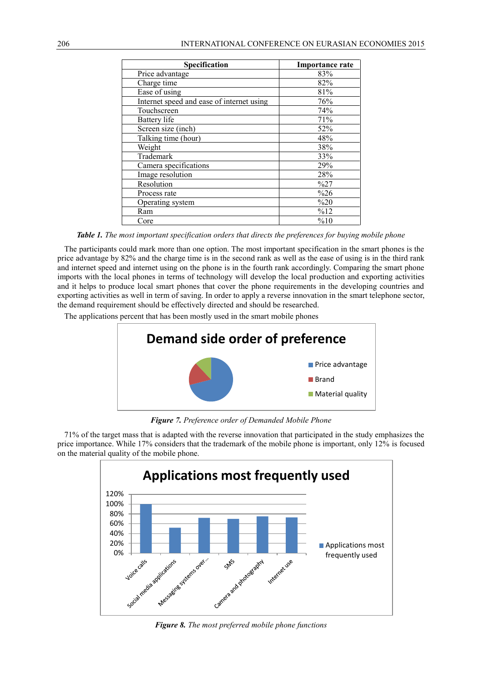| <b>Specification</b>                      | <b>Importance rate</b> |
|-------------------------------------------|------------------------|
| Price advantage                           | 83%                    |
| Charge time                               | 82%                    |
| Ease of using                             | 81%                    |
| Internet speed and ease of internet using | 76%                    |
| Touchscreen                               | 74%                    |
| Battery life                              | 71%                    |
| Screen size (inch)                        | 52%                    |
| Talking time (hour)                       | 48%                    |
| Weight                                    | 38%                    |
| Trademark                                 | 33%                    |
| Camera specifications                     | 29%                    |
| Image resolution                          | 28%                    |
| Resolution                                | %27                    |
| Process rate                              | $\frac{6}{26}$         |
| Operating system                          | %20                    |
| Ram                                       | %12                    |
| Core                                      | %10                    |

*Table 1. The most important specification orders that directs the preferences for buying mobile phone*

The participants could mark more than one option. The most important specification in the smart phones is the price advantage by 82% and the charge time is in the second rank as well as the ease of using is in the third rank and internet speed and internet using on the phone is in the fourth rank accordingly. Comparing the smart phone imports with the local phones in terms of technology will develop the local production and exporting activities and it helps to produce local smart phones that cover the phone requirements in the developing countries and exporting activities as well in term of saving. In order to apply a reverse innovation in the smart telephone sector, the demand requirement should be effectively directed and should be researched.

The applications percent that has been mostly used in the smart mobile phones



*Figure 7. Preference order of Demanded Mobile Phone*

71% of the target mass that is adapted with the reverse innovation that participated in the study emphasizes the price importance. While 17% considers that the trademark of the mobile phone is important, only 12% is focused on the material quality of the mobile phone.



*Figure 8. The most preferred mobile phone functions*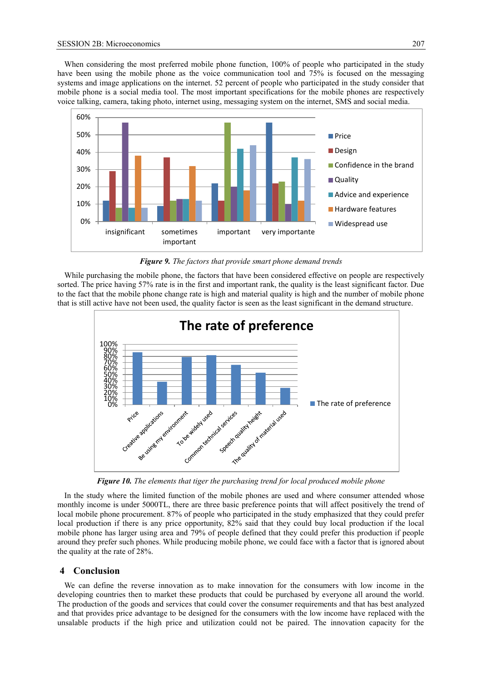When considering the most preferred mobile phone function, 100% of people who participated in the study have been using the mobile phone as the voice communication tool and 75% is focused on the messaging systems and image applications on the internet. 52 percent of people who participated in the study consider that mobile phone is a social media tool. The most important specifications for the mobile phones are respectively voice talking, camera, taking photo, internet using, messaging system on the internet, SMS and social media.



*Figure 9. The factors that provide smart phone demand trends*

While purchasing the mobile phone, the factors that have been considered effective on people are respectively sorted. The price having 57% rate is in the first and important rank, the quality is the least significant factor. Due to the fact that the mobile phone change rate is high and material quality is high and the number of mobile phone that is still active have not been used, the quality factor is seen as the least significant in the demand structure.



*Figure 10. The elements that tiger the purchasing trend for local produced mobile phone*

In the study where the limited function of the mobile phones are used and where consumer attended whose monthly income is under 5000TL, there are three basic preference points that will affect positively the trend of local mobile phone procurement. 87% of people who participated in the study emphasized that they could prefer local production if there is any price opportunity, 82% said that they could buy local production if the local mobile phone has larger using area and 79% of people defined that they could prefer this production if people around they prefer such phones. While producing mobile phone, we could face with a factor that is ignored about the quality at the rate of 28%.

# **4 Conclusion**

We can define the reverse innovation as to make innovation for the consumers with low income in the developing countries then to market these products that could be purchased by everyone all around the world. The production of the goods and services that could cover the consumer requirements and that has best analyzed and that provides price advantage to be designed for the consumers with the low income have replaced with the unsalable products if the high price and utilization could not be paired. The innovation capacity for the